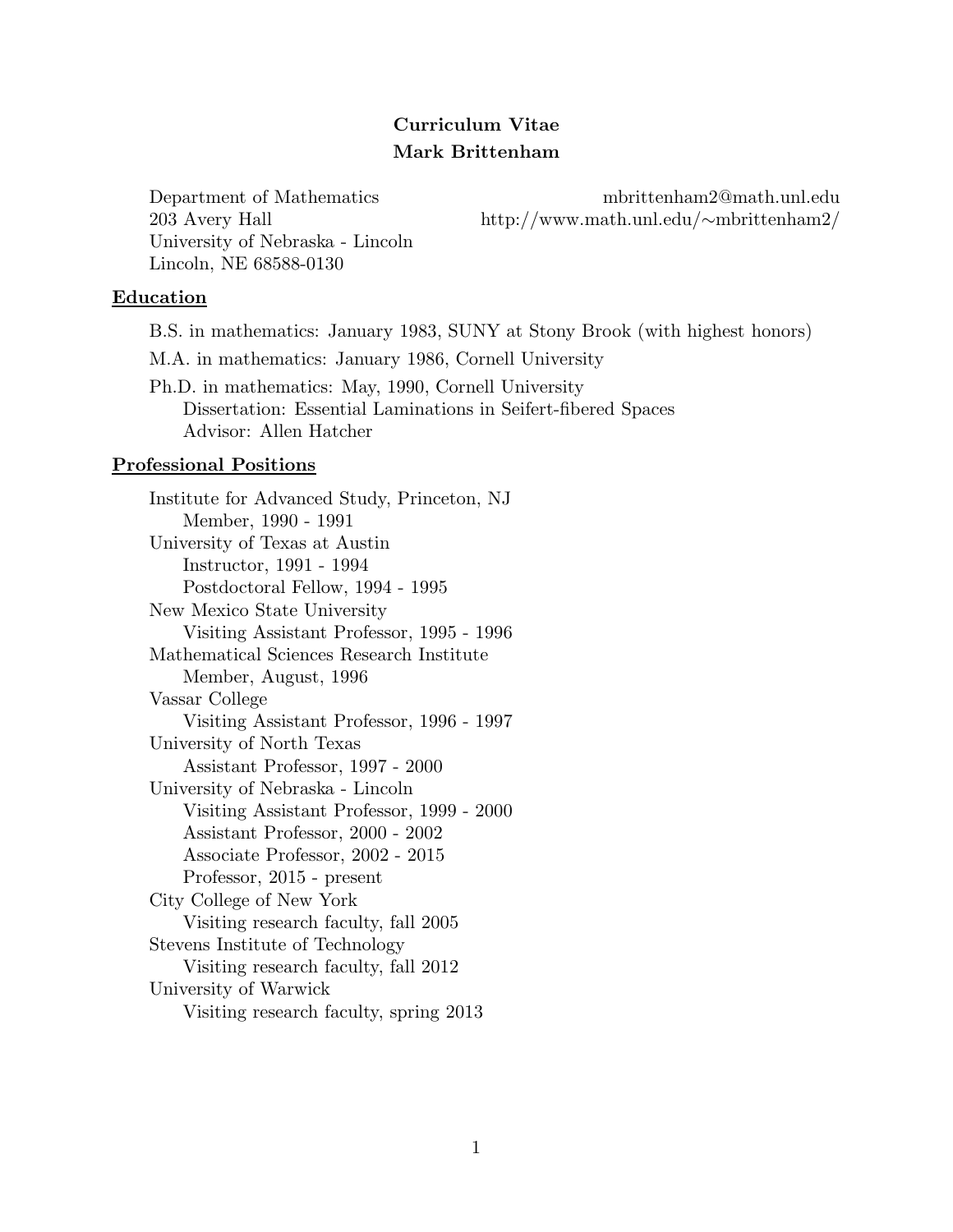# Curriculum Vitae Mark Brittenham

University of Nebraska - Lincoln Lincoln, NE 68588-0130

Department of Mathematics mbrittenham2@math.unl.edu 203 Avery Hall http://www.math.unl.edu/∼mbrittenham2/

#### Education

B.S. in mathematics: January 1983, SUNY at Stony Brook (with highest honors) M.A. in mathematics: January 1986, Cornell University Ph.D. in mathematics: May, 1990, Cornell University

Dissertation: Essential Laminations in Seifert-fibered Spaces Advisor: Allen Hatcher

#### Professional Positions

Institute for Advanced Study, Princeton, NJ Member, 1990 - 1991 University of Texas at Austin Instructor, 1991 - 1994 Postdoctoral Fellow, 1994 - 1995 New Mexico State University Visiting Assistant Professor, 1995 - 1996 Mathematical Sciences Research Institute Member, August, 1996 Vassar College Visiting Assistant Professor, 1996 - 1997 University of North Texas Assistant Professor, 1997 - 2000 University of Nebraska - Lincoln Visiting Assistant Professor, 1999 - 2000 Assistant Professor, 2000 - 2002 Associate Professor, 2002 - 2015 Professor, 2015 - present City College of New York Visiting research faculty, fall 2005 Stevens Institute of Technology Visiting research faculty, fall 2012 University of Warwick Visiting research faculty, spring 2013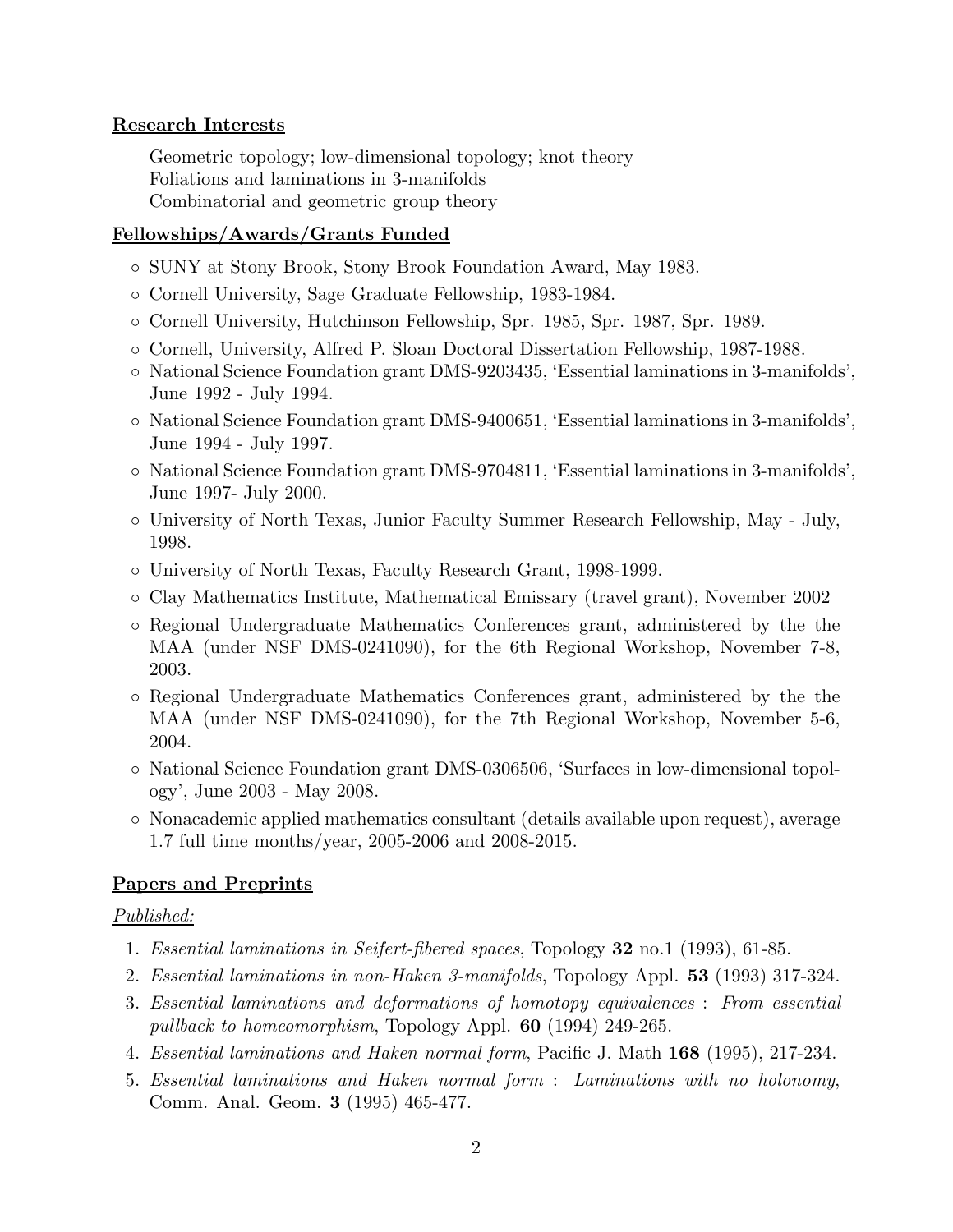# Research Interests

Geometric topology; low-dimensional topology; knot theory Foliations and laminations in 3-manifolds Combinatorial and geometric group theory

# Fellowships/Awards/Grants Funded

- SUNY at Stony Brook, Stony Brook Foundation Award, May 1983.
- Cornell University, Sage Graduate Fellowship, 1983-1984.
- Cornell University, Hutchinson Fellowship, Spr. 1985, Spr. 1987, Spr. 1989.
- Cornell, University, Alfred P. Sloan Doctoral Dissertation Fellowship, 1987-1988.
- National Science Foundation grant DMS-9203435, 'Essential laminations in 3-manifolds', June 1992 - July 1994.
- National Science Foundation grant DMS-9400651, 'Essential laminations in 3-manifolds', June 1994 - July 1997.
- National Science Foundation grant DMS-9704811, 'Essential laminations in 3-manifolds', June 1997- July 2000.
- University of North Texas, Junior Faculty Summer Research Fellowship, May July, 1998.
- University of North Texas, Faculty Research Grant, 1998-1999.
- Clay Mathematics Institute, Mathematical Emissary (travel grant), November 2002
- Regional Undergraduate Mathematics Conferences grant, administered by the the MAA (under NSF DMS-0241090), for the 6th Regional Workshop, November 7-8, 2003.
- Regional Undergraduate Mathematics Conferences grant, administered by the the MAA (under NSF DMS-0241090), for the 7th Regional Workshop, November 5-6, 2004.
- National Science Foundation grant DMS-0306506, 'Surfaces in low-dimensional topology', June 2003 - May 2008.
- Nonacademic applied mathematics consultant (details available upon request), average 1.7 full time months/year, 2005-2006 and 2008-2015.

# Papers and Preprints

# Published:

- 1. Essential laminations in Seifert-fibered spaces, Topology 32 no.1 (1993), 61-85.
- 2. Essential laminations in non-Haken 3-manifolds, Topology Appl. 53 (1993) 317-324.
- 3. Essential laminations and deformations of homotopy equivalences : From essential pullback to homeomorphism, Topology Appl. 60 (1994) 249-265.
- 4. Essential laminations and Haken normal form, Pacific J. Math 168 (1995), 217-234.
- 5. Essential laminations and Haken normal form : Laminations with no holonomy, Comm. Anal. Geom. 3 (1995) 465-477.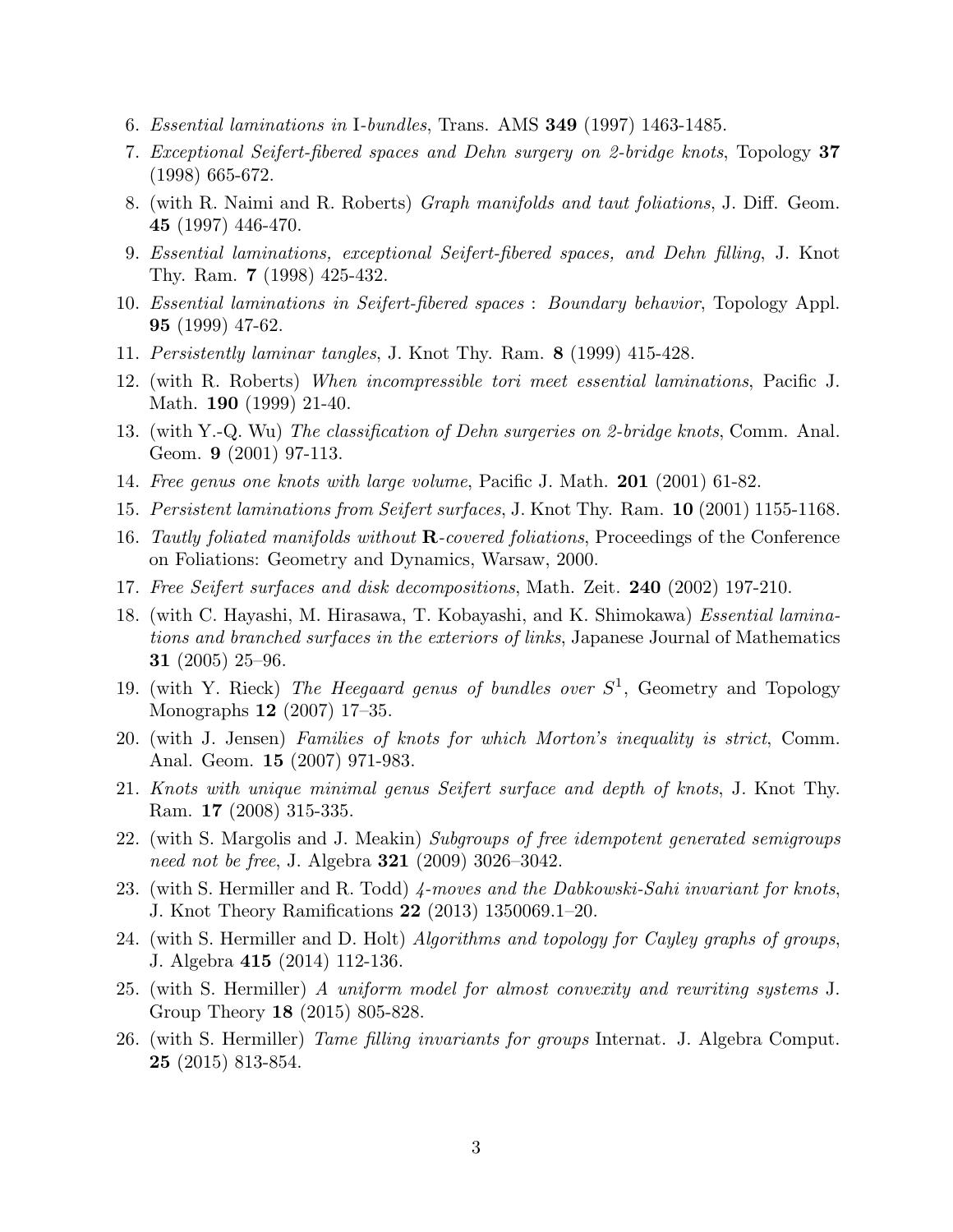- 6. Essential laminations in I-bundles, Trans. AMS 349 (1997) 1463-1485.
- 7. Exceptional Seifert-fibered spaces and Dehn surgery on 2-bridge knots, Topology 37 (1998) 665-672.
- 8. (with R. Naimi and R. Roberts) Graph manifolds and taut foliations, J. Diff. Geom. 45 (1997) 446-470.
- 9. Essential laminations, exceptional Seifert-fibered spaces, and Dehn filling, J. Knot Thy. Ram. 7 (1998) 425-432.
- 10. Essential laminations in Seifert-fibered spaces : Boundary behavior, Topology Appl. 95 (1999) 47-62.
- 11. Persistently laminar tangles, J. Knot Thy. Ram. 8 (1999) 415-428.
- 12. (with R. Roberts) When incompressible tori meet essential laminations, Pacific J. Math. **190** (1999) 21-40.
- 13. (with Y.-Q. Wu) The classification of Dehn surgeries on 2-bridge knots, Comm. Anal. Geom. 9 (2001) 97-113.
- 14. Free genus one knots with large volume, Pacific J. Math. 201 (2001) 61-82.
- 15. Persistent laminations from Seifert surfaces, J. Knot Thy. Ram. 10 (2001) 1155-1168.
- 16. Tautly foliated manifolds without  $\bf{R}$ -covered foliations, Proceedings of the Conference on Foliations: Geometry and Dynamics, Warsaw, 2000.
- 17. Free Seifert surfaces and disk decompositions, Math. Zeit. 240 (2002) 197-210.
- 18. (with C. Hayashi, M. Hirasawa, T. Kobayashi, and K. Shimokawa) Essential laminations and branched surfaces in the exteriors of links, Japanese Journal of Mathematics 31 (2005) 25–96.
- 19. (with Y. Rieck) The Heegaard genus of bundles over  $S^1$ , Geometry and Topology Monographs 12 (2007) 17–35.
- 20. (with J. Jensen) Families of knots for which Morton's inequality is strict, Comm. Anal. Geom. 15 (2007) 971-983.
- 21. Knots with unique minimal genus Seifert surface and depth of knots, J. Knot Thy. Ram. 17 (2008) 315-335.
- 22. (with S. Margolis and J. Meakin) Subgroups of free idempotent generated semigroups need not be free, J. Algebra **321** (2009) 3026-3042.
- 23. (with S. Hermiller and R. Todd) 4-moves and the Dabkowski-Sahi invariant for knots, J. Knot Theory Ramifications 22 (2013) 1350069.1–20.
- 24. (with S. Hermiller and D. Holt) Algorithms and topology for Cayley graphs of groups, J. Algebra 415 (2014) 112-136.
- 25. (with S. Hermiller) A uniform model for almost convexity and rewriting systems J. Group Theory 18 (2015) 805-828.
- 26. (with S. Hermiller) Tame filling invariants for groups Internat. J. Algebra Comput. 25 (2015) 813-854.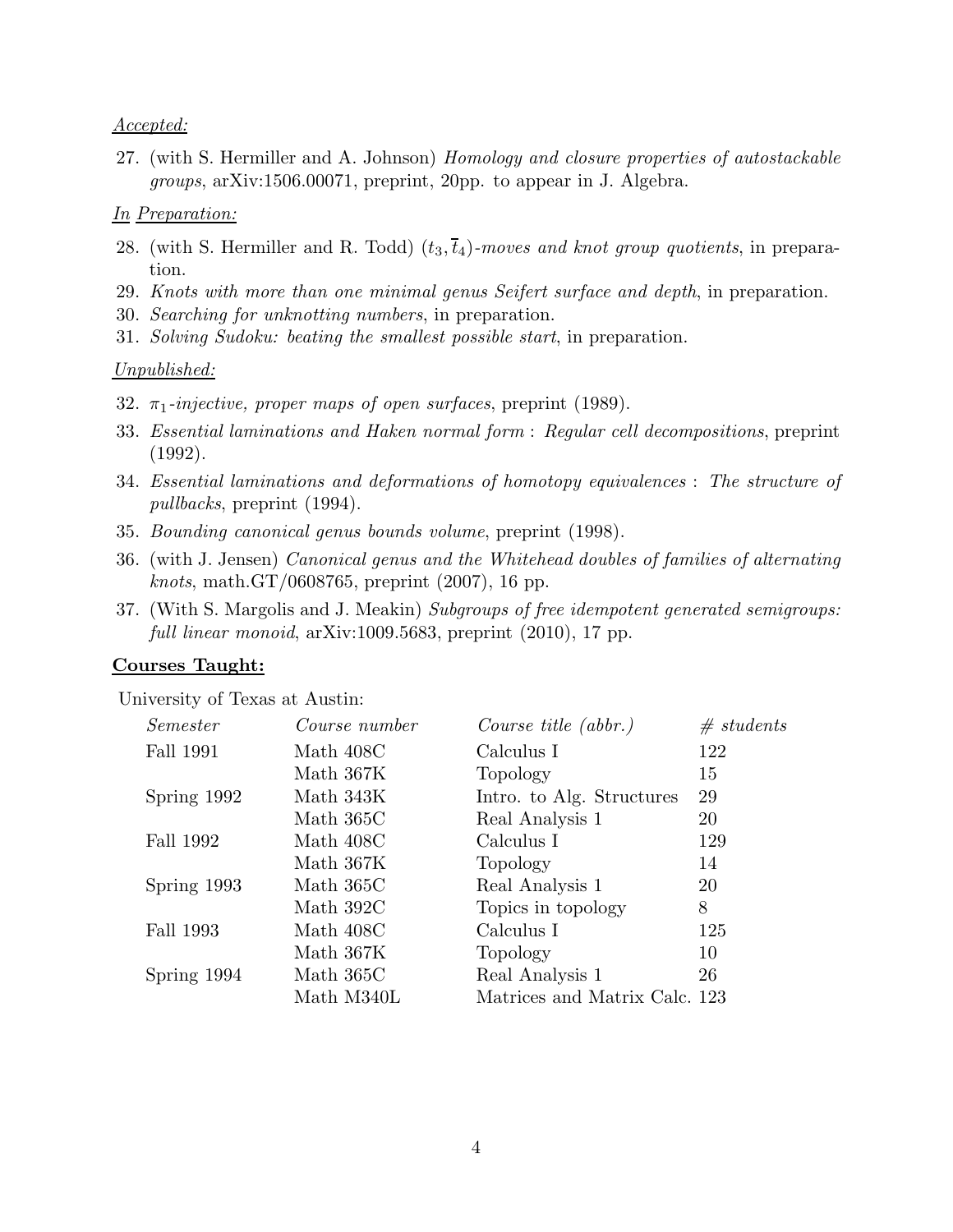### Accepted:

27. (with S. Hermiller and A. Johnson) Homology and closure properties of autostackable groups, arXiv:1506.00071, preprint, 20pp. to appear in J. Algebra.

### In Preparation:

- 28. (with S. Hermiller and R. Todd)  $(t_3, \bar{t}_4)$ -moves and knot group quotients, in preparation.
- 29. Knots with more than one minimal genus Seifert surface and depth, in preparation.
- 30. Searching for unknotting numbers, in preparation.
- 31. Solving Sudoku: beating the smallest possible start, in preparation.

#### Unpublished:

- 32.  $\pi_1$ -injective, proper maps of open surfaces, preprint (1989).
- 33. Essential laminations and Haken normal form : Regular cell decompositions, preprint (1992).
- 34. Essential laminations and deformations of homotopy equivalences : The structure of pullbacks, preprint (1994).
- 35. Bounding canonical genus bounds volume, preprint (1998).
- 36. (with J. Jensen) Canonical genus and the Whitehead doubles of families of alternating *knots*, math.GT/0608765, preprint  $(2007)$ , 16 pp.
- 37. (With S. Margolis and J. Meakin) Subgroups of free idempotent generated semigroups: full linear monoid, arXiv:1009.5683, preprint  $(2010)$ , 17 pp.

## Courses Taught:

University of Texas at Austin:

| Course number | Course title $(abbr.)$        | # students |
|---------------|-------------------------------|------------|
| Math 408C     | Calculus I                    | 122        |
| Math 367K     | Topology                      | 15         |
| Math 343K     | Intro. to Alg. Structures     | 29         |
| Math 365C     | Real Analysis 1               | 20         |
| Math 408C     | Calculus I                    | 129        |
| Math 367K     | Topology                      | 14         |
| Math 365C     | Real Analysis 1               | 20         |
| Math 392C     | Topics in topology            | 8          |
| Math 408C     | Calculus I                    | 125        |
| Math 367K     | Topology                      | 10         |
| Math 365C     | Real Analysis 1               | 26         |
| Math M340L    | Matrices and Matrix Calc. 123 |            |
|               |                               |            |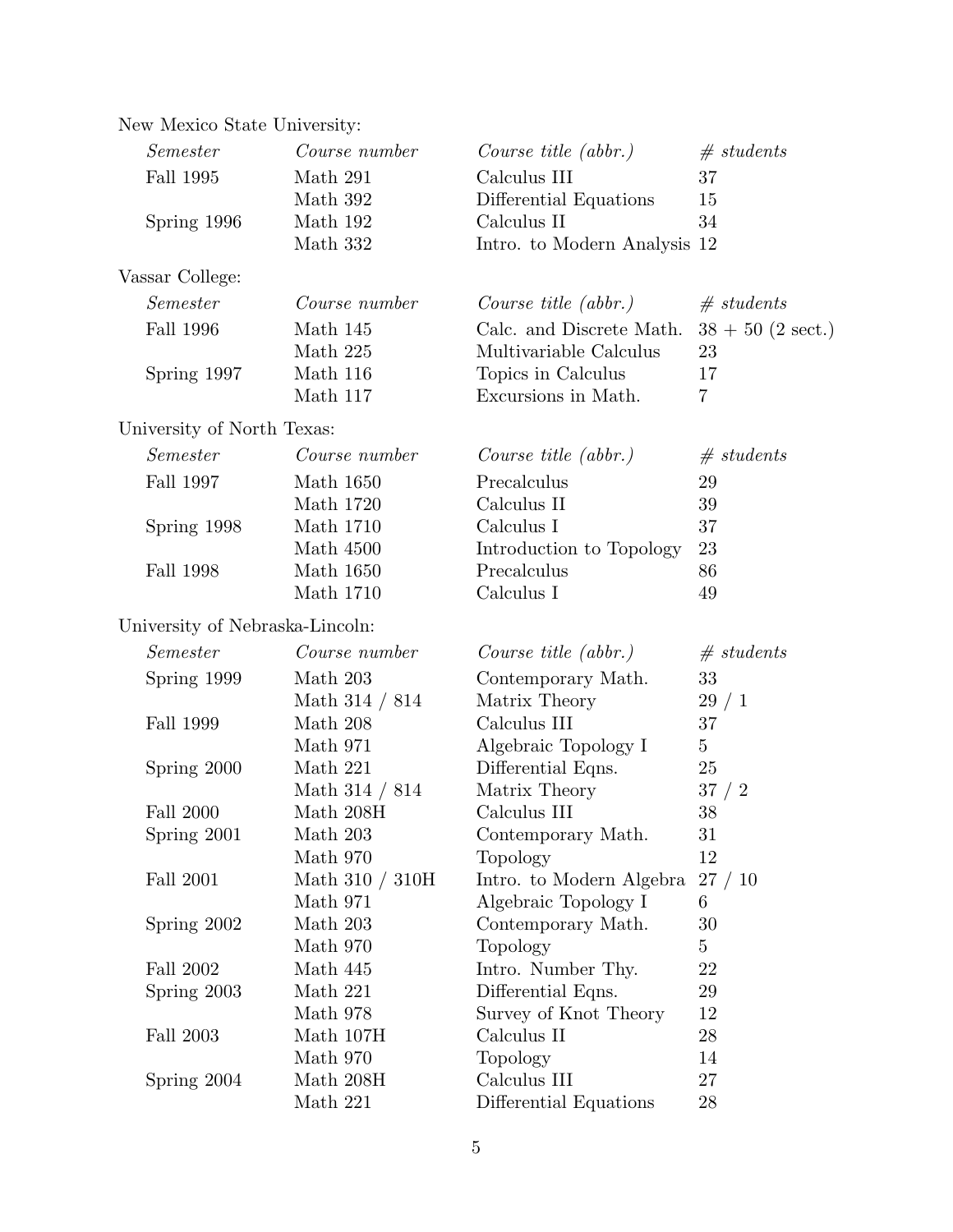|  | New Mexico State University: |  |
|--|------------------------------|--|
|  |                              |  |

| Semester                        | Course number        | Course title $(abbr.)$       | # students          |
|---------------------------------|----------------------|------------------------------|---------------------|
| <b>Fall 1995</b>                | Math 291             | Calculus III                 | 37                  |
|                                 | Math 392             | Differential Equations       | 15                  |
| Spring 1996                     | Math 192             | Calculus II                  | 34                  |
|                                 | Math 332             | Intro. to Modern Analysis 12 |                     |
| Vassar College:                 |                      |                              |                     |
| Semester                        | Course number        | Course title $(abbr.)$       | # students          |
| <b>Fall 1996</b>                | Math 145             | Calc. and Discrete Math.     | $38 + 50$ (2 sect.) |
|                                 | Math 225             | Multivariable Calculus       | 23                  |
| Spring 1997                     | Math 116             | Topics in Calculus           | 17                  |
|                                 | Math 117             | Excursions in Math.          | $\overline{7}$      |
| University of North Texas:      |                      |                              |                     |
| Semester                        | Course number        | Course title $(abbr.)$       | # students          |
| Fall 1997                       | Math 1650            | Precalculus                  | 29                  |
|                                 | Math 1720            | Calculus II                  | 39                  |
| Spring 1998                     | <b>Math 1710</b>     | Calculus I                   | 37                  |
|                                 | Math 4500            | Introduction to Topology     | 23                  |
| <b>Fall 1998</b>                | Math 1650            | Precalculus                  | 86                  |
|                                 | <b>Math 1710</b>     | Calculus I                   | 49                  |
| University of Nebraska-Lincoln: |                      |                              |                     |
| Semester                        | Course number        | Course title $(abbr.)$       | # students          |
| Spring 1999                     | Math 203             | Contemporary Math.           | 33                  |
|                                 | Math $314 / 814$     | Matrix Theory                | 29/1                |
| Fall 1999                       | Math 208             | Calculus III                 | 37                  |
|                                 | Math 971             | Algebraic Topology I         | $\overline{5}$      |
| Spring 2000                     | Math 221             | Differential Eqns.           | 25                  |
|                                 | Math $314 / 814$     | Matrix Theory                | 37 / 2              |
| <b>Fall 2000</b>                | Math $208\mathrm{H}$ | Calculus III                 | 38                  |
| Spring 2001                     | Math $203\,$         | Contemporary Math.           | 31                  |
|                                 | Math 970             | Topology                     | 12                  |
| <b>Fall 2001</b>                | Math $310 / 310H$    | Intro. to Modern Algebra     | 27/10               |
|                                 | Math 971             | Algebraic Topology I         | 6                   |
| Spring 2002                     | Math 203             | Contemporary Math.           | 30                  |
|                                 | Math 970             | Topology                     | $\overline{5}$      |
| Fall 2002                       | Math 445             | Intro. Number Thy.           | 22                  |
| Spring 2003                     | Math 221             | Differential Eqns.           | 29                  |
|                                 | Math 978             | Survey of Knot Theory        | 12                  |
| <b>Fall 2003</b>                | Math 107H            | Calculus II                  | $28\,$              |
|                                 | Math 970             | Topology                     | 14                  |
| Spring 2004                     | Math 208H            | Calculus III                 | 27                  |
|                                 | Math 221             | Differential Equations       | 28                  |
|                                 |                      |                              |                     |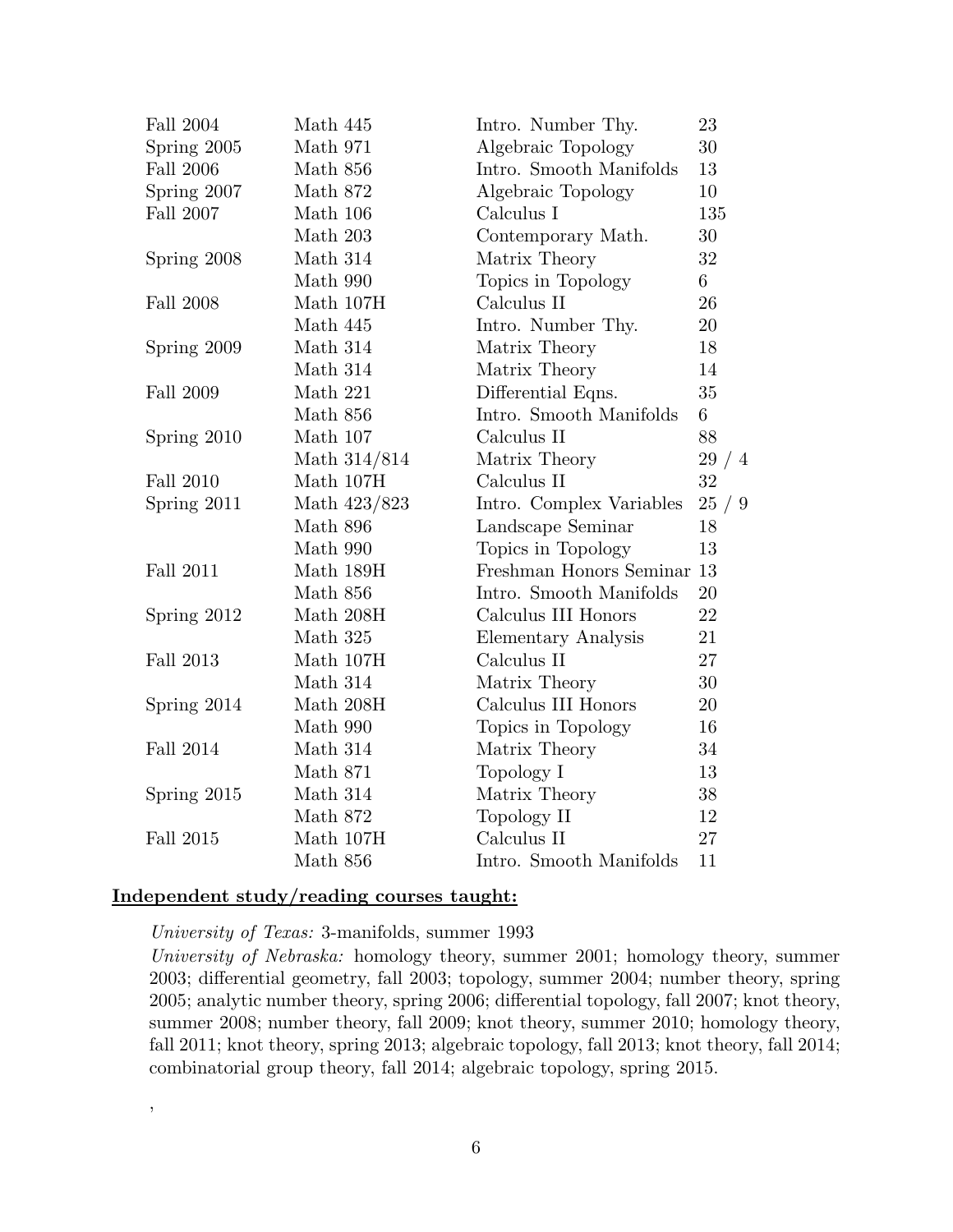| <b>Fall 2004</b> | Math 445             | Intro. Number Thy.       | 23   |
|------------------|----------------------|--------------------------|------|
| Spring 2005      | Math 971             | Algebraic Topology       | 30   |
| <b>Fall 2006</b> | Math 856             | Intro. Smooth Manifolds  | 13   |
| Spring 2007      | Math 872             | Algebraic Topology       | 10   |
| <b>Fall 2007</b> | Math 106             | Calculus I               | 135  |
|                  | Math 203             | Contemporary Math.       | 30   |
| Spring 2008      | Math 314             | Matrix Theory            | 32   |
|                  | Math 990             | Topics in Topology       | 6    |
| <b>Fall 2008</b> | Math 107H            | Calculus II              | 26   |
|                  | Math 445             | Intro. Number Thy.       | 20   |
| Spring 2009      | Math 314             | Matrix Theory            | 18   |
|                  | Math 314             | Matrix Theory            | 14   |
| Fall 2009        | Math 221             | Differential Eqns.       | 35   |
|                  | Math 856             | Intro. Smooth Manifolds  | 6    |
| Spring 2010      | Math 107             | Calculus II              | 88   |
|                  | Math 314/814         | Matrix Theory            | 29/4 |
| <b>Fall 2010</b> | Math 107H            | Calculus II              | 32   |
| Spring 2011      | Math 423/823         | Intro. Complex Variables | 25/9 |
|                  | Math 896             | Landscape Seminar        | 18   |
|                  | Math 990             | Topics in Topology       | 13   |
| Fall 2011        | Math 189H            | Freshman Honors Seminar  | 13   |
|                  | Math 856             | Intro. Smooth Manifolds  | 20   |
| Spring 2012      | Math 208H            | Calculus III Honors      | 22   |
|                  | Math 325             | Elementary Analysis      | 21   |
| Fall 2013        | Math 107H            | Calculus II              | 27   |
|                  | Math 314             | Matrix Theory            | 30   |
| Spring 2014      | Math $208\mathrm{H}$ | Calculus III Honors      | 20   |
|                  | Math 990             | Topics in Topology       | 16   |
| <b>Fall 2014</b> | Math 314             | Matrix Theory            | 34   |
|                  | Math 871             | Topology I               | 13   |
| Spring 2015      | Math 314             | Matrix Theory            | 38   |
|                  | Math 872             | Topology II              | 12   |
| <b>Fall 2015</b> | Math 107H            | Calculus II              | 27   |
|                  | Math 856             | Intro. Smooth Manifolds  | 11   |

### Independent study/reading courses taught:

,

University of Texas: 3-manifolds, summer 1993

University of Nebraska: homology theory, summer 2001; homology theory, summer 2003; differential geometry, fall 2003; topology, summer 2004; number theory, spring 2005; analytic number theory, spring 2006; differential topology, fall 2007; knot theory, summer 2008; number theory, fall 2009; knot theory, summer 2010; homology theory, fall 2011; knot theory, spring 2013; algebraic topology, fall 2013; knot theory, fall 2014; combinatorial group theory, fall 2014; algebraic topology, spring 2015.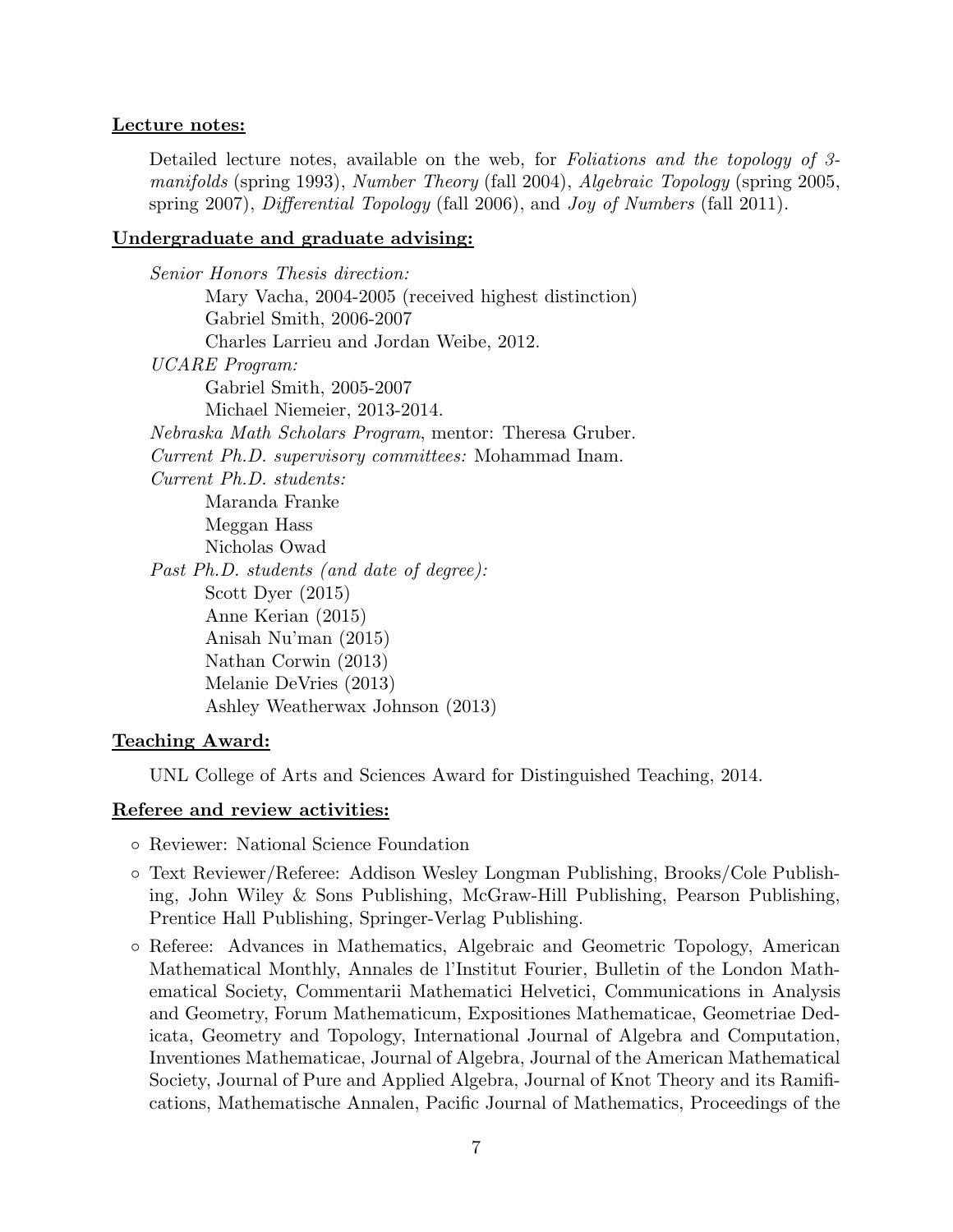### Lecture notes:

Detailed lecture notes, available on the web, for *Foliations and the topology of 3*manifolds (spring 1993), Number Theory (fall 2004), Algebraic Topology (spring 2005, spring 2007), Differential Topology (fall 2006), and Joy of Numbers (fall 2011).

### Undergraduate and graduate advising:

Senior Honors Thesis direction: Mary Vacha, 2004-2005 (received highest distinction) Gabriel Smith, 2006-2007 Charles Larrieu and Jordan Weibe, 2012. UCARE Program: Gabriel Smith, 2005-2007 Michael Niemeier, 2013-2014. Nebraska Math Scholars Program, mentor: Theresa Gruber. Current Ph.D. supervisory committees: Mohammad Inam. Current Ph.D. students: Maranda Franke Meggan Hass Nicholas Owad Past Ph.D. students (and date of degree): Scott Dyer (2015) Anne Kerian (2015) Anisah Nu'man (2015) Nathan Corwin (2013) Melanie DeVries (2013) Ashley Weatherwax Johnson (2013)

### Teaching Award:

UNL College of Arts and Sciences Award for Distinguished Teaching, 2014.

#### Referee and review activities:

- Reviewer: National Science Foundation
- Text Reviewer/Referee: Addison Wesley Longman Publishing, Brooks/Cole Publishing, John Wiley & Sons Publishing, McGraw-Hill Publishing, Pearson Publishing, Prentice Hall Publishing, Springer-Verlag Publishing.
- Referee: Advances in Mathematics, Algebraic and Geometric Topology, American Mathematical Monthly, Annales de l'Institut Fourier, Bulletin of the London Mathematical Society, Commentarii Mathematici Helvetici, Communications in Analysis and Geometry, Forum Mathematicum, Expositiones Mathematicae, Geometriae Dedicata, Geometry and Topology, International Journal of Algebra and Computation, Inventiones Mathematicae, Journal of Algebra, Journal of the American Mathematical Society, Journal of Pure and Applied Algebra, Journal of Knot Theory and its Ramifications, Mathematische Annalen, Pacific Journal of Mathematics, Proceedings of the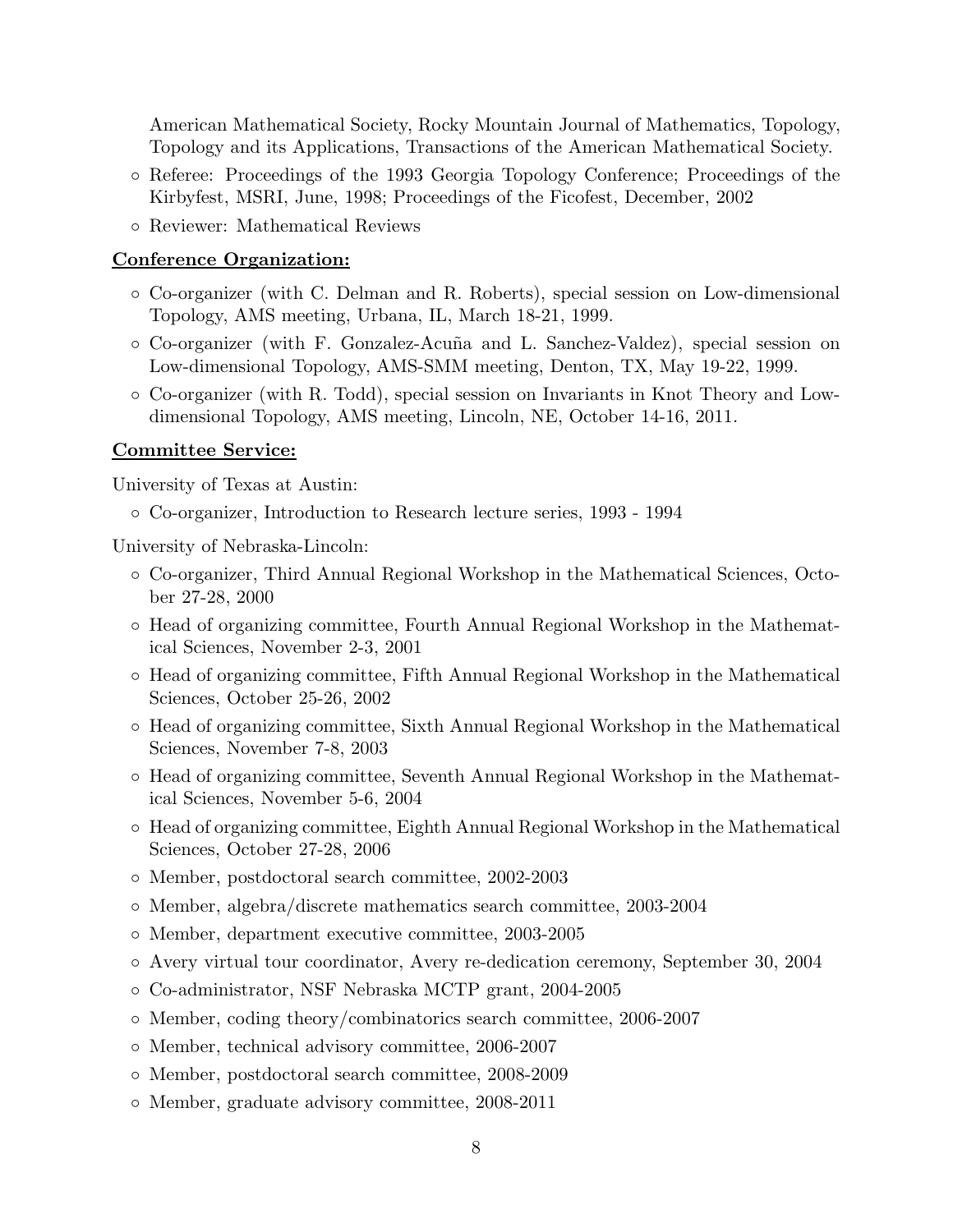American Mathematical Society, Rocky Mountain Journal of Mathematics, Topology, Topology and its Applications, Transactions of the American Mathematical Society.

- Referee: Proceedings of the 1993 Georgia Topology Conference; Proceedings of the Kirbyfest, MSRI, June, 1998; Proceedings of the Ficofest, December, 2002
- Reviewer: Mathematical Reviews

#### Conference Organization:

- Co-organizer (with C. Delman and R. Roberts), special session on Low-dimensional Topology, AMS meeting, Urbana, IL, March 18-21, 1999.
- Co-organizer (with F. Gonzalez-Acu˜na and L. Sanchez-Valdez), special session on Low-dimensional Topology, AMS-SMM meeting, Denton, TX, May 19-22, 1999.
- Co-organizer (with R. Todd), special session on Invariants in Knot Theory and Lowdimensional Topology, AMS meeting, Lincoln, NE, October 14-16, 2011.

#### Committee Service:

University of Texas at Austin:

◦ Co-organizer, Introduction to Research lecture series, 1993 - 1994

University of Nebraska-Lincoln:

- Co-organizer, Third Annual Regional Workshop in the Mathematical Sciences, October 27-28, 2000
- Head of organizing committee, Fourth Annual Regional Workshop in the Mathematical Sciences, November 2-3, 2001
- Head of organizing committee, Fifth Annual Regional Workshop in the Mathematical Sciences, October 25-26, 2002
- Head of organizing committee, Sixth Annual Regional Workshop in the Mathematical Sciences, November 7-8, 2003
- Head of organizing committee, Seventh Annual Regional Workshop in the Mathematical Sciences, November 5-6, 2004
- Head of organizing committee, Eighth Annual Regional Workshop in the Mathematical Sciences, October 27-28, 2006
- Member, postdoctoral search committee, 2002-2003
- Member, algebra/discrete mathematics search committee, 2003-2004
- Member, department executive committee, 2003-2005
- Avery virtual tour coordinator, Avery re-dedication ceremony, September 30, 2004
- Co-administrator, NSF Nebraska MCTP grant, 2004-2005
- Member, coding theory/combinatorics search committee, 2006-2007
- Member, technical advisory committee, 2006-2007
- Member, postdoctoral search committee, 2008-2009
- Member, graduate advisory committee, 2008-2011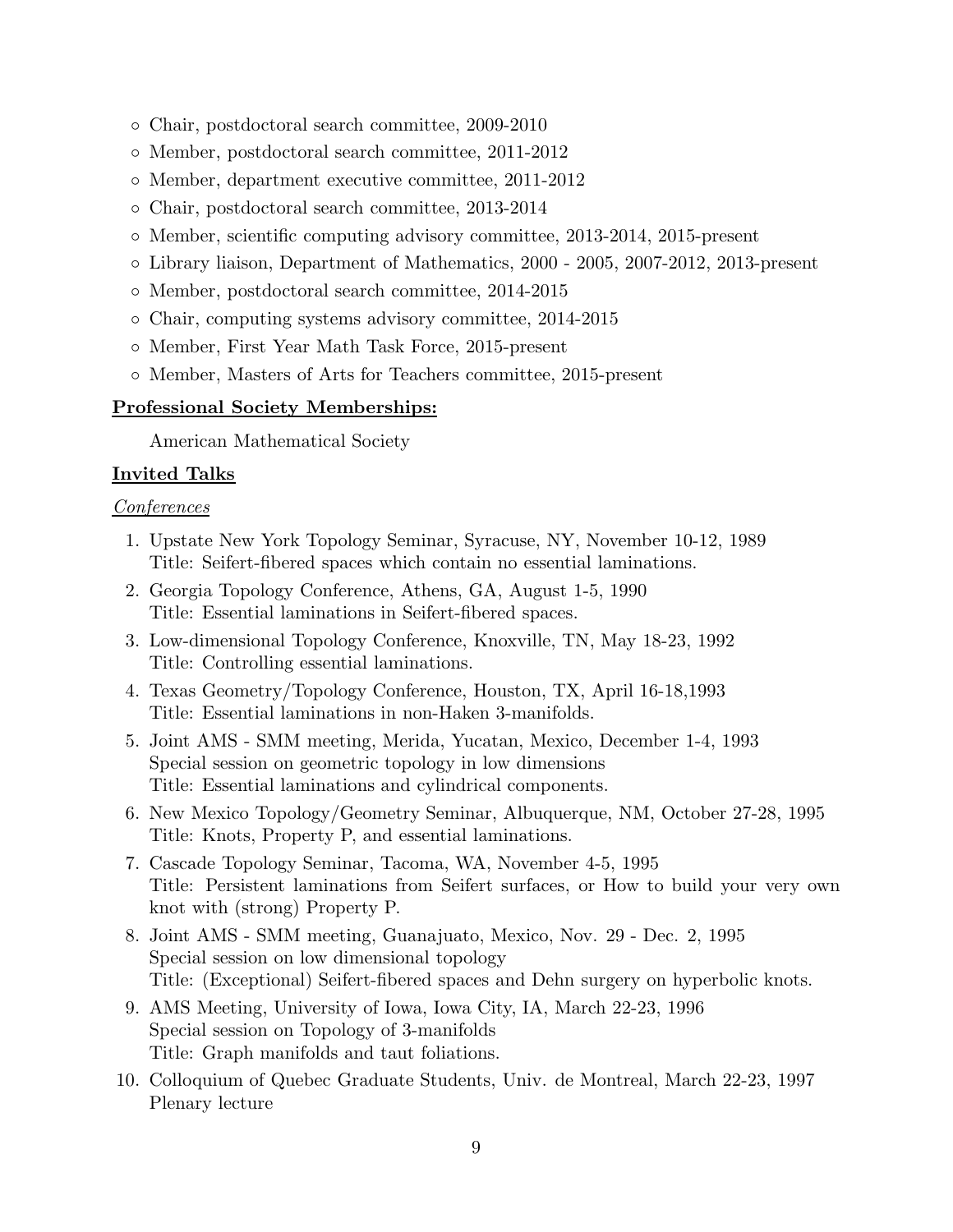- Chair, postdoctoral search committee, 2009-2010
- Member, postdoctoral search committee, 2011-2012
- Member, department executive committee, 2011-2012
- Chair, postdoctoral search committee, 2013-2014
- Member, scientific computing advisory committee, 2013-2014, 2015-present
- Library liaison, Department of Mathematics, 2000 2005, 2007-2012, 2013-present
- Member, postdoctoral search committee, 2014-2015
- Chair, computing systems advisory committee, 2014-2015
- Member, First Year Math Task Force, 2015-present
- Member, Masters of Arts for Teachers committee, 2015-present

## Professional Society Memberships:

American Mathematical Society

## Invited Talks

### Conferences

- 1. Upstate New York Topology Seminar, Syracuse, NY, November 10-12, 1989 Title: Seifert-fibered spaces which contain no essential laminations.
- 2. Georgia Topology Conference, Athens, GA, August 1-5, 1990 Title: Essential laminations in Seifert-fibered spaces.
- 3. Low-dimensional Topology Conference, Knoxville, TN, May 18-23, 1992 Title: Controlling essential laminations.
- 4. Texas Geometry/Topology Conference, Houston, TX, April 16-18,1993 Title: Essential laminations in non-Haken 3-manifolds.
- 5. Joint AMS SMM meeting, Merida, Yucatan, Mexico, December 1-4, 1993 Special session on geometric topology in low dimensions Title: Essential laminations and cylindrical components.
- 6. New Mexico Topology/Geometry Seminar, Albuquerque, NM, October 27-28, 1995 Title: Knots, Property P, and essential laminations.
- 7. Cascade Topology Seminar, Tacoma, WA, November 4-5, 1995 Title: Persistent laminations from Seifert surfaces, or How to build your very own knot with (strong) Property P.
- 8. Joint AMS SMM meeting, Guanajuato, Mexico, Nov. 29 Dec. 2, 1995 Special session on low dimensional topology Title: (Exceptional) Seifert-fibered spaces and Dehn surgery on hyperbolic knots.
- 9. AMS Meeting, University of Iowa, Iowa City, IA, March 22-23, 1996 Special session on Topology of 3-manifolds Title: Graph manifolds and taut foliations.
- 10. Colloquium of Quebec Graduate Students, Univ. de Montreal, March 22-23, 1997 Plenary lecture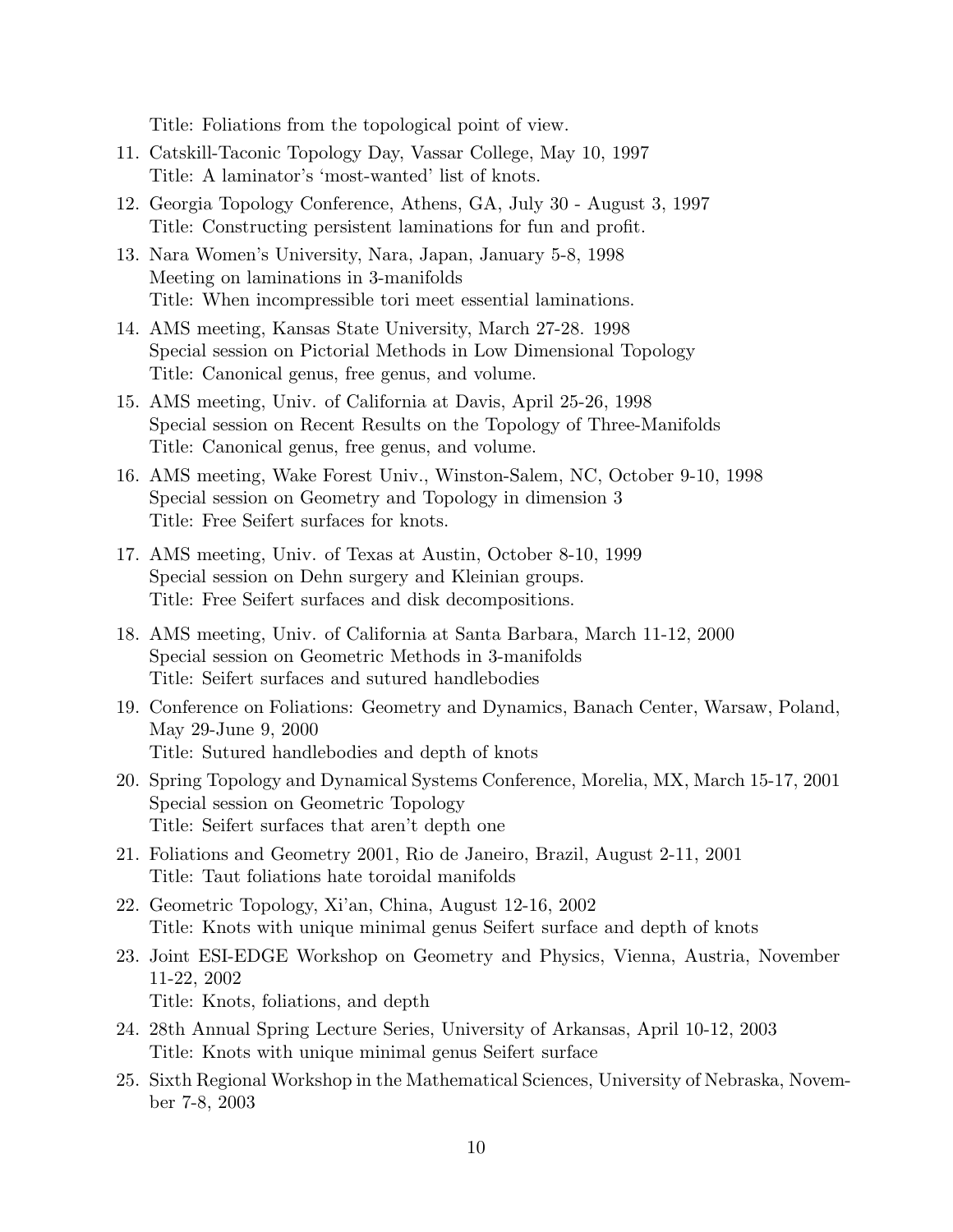Title: Foliations from the topological point of view.

- 11. Catskill-Taconic Topology Day, Vassar College, May 10, 1997 Title: A laminator's 'most-wanted' list of knots.
- 12. Georgia Topology Conference, Athens, GA, July 30 August 3, 1997 Title: Constructing persistent laminations for fun and profit.
- 13. Nara Women's University, Nara, Japan, January 5-8, 1998 Meeting on laminations in 3-manifolds Title: When incompressible tori meet essential laminations.
- 14. AMS meeting, Kansas State University, March 27-28. 1998 Special session on Pictorial Methods in Low Dimensional Topology Title: Canonical genus, free genus, and volume.
- 15. AMS meeting, Univ. of California at Davis, April 25-26, 1998 Special session on Recent Results on the Topology of Three-Manifolds Title: Canonical genus, free genus, and volume.
- 16. AMS meeting, Wake Forest Univ., Winston-Salem, NC, October 9-10, 1998 Special session on Geometry and Topology in dimension 3 Title: Free Seifert surfaces for knots.
- 17. AMS meeting, Univ. of Texas at Austin, October 8-10, 1999 Special session on Dehn surgery and Kleinian groups. Title: Free Seifert surfaces and disk decompositions.
- 18. AMS meeting, Univ. of California at Santa Barbara, March 11-12, 2000 Special session on Geometric Methods in 3-manifolds Title: Seifert surfaces and sutured handlebodies
- 19. Conference on Foliations: Geometry and Dynamics, Banach Center, Warsaw, Poland, May 29-June 9, 2000 Title: Sutured handlebodies and depth of knots
- 20. Spring Topology and Dynamical Systems Conference, Morelia, MX, March 15-17, 2001 Special session on Geometric Topology Title: Seifert surfaces that aren't depth one
- 21. Foliations and Geometry 2001, Rio de Janeiro, Brazil, August 2-11, 2001 Title: Taut foliations hate toroidal manifolds
- 22. Geometric Topology, Xi'an, China, August 12-16, 2002 Title: Knots with unique minimal genus Seifert surface and depth of knots
- 23. Joint ESI-EDGE Workshop on Geometry and Physics, Vienna, Austria, November 11-22, 2002 Title: Knots, foliations, and depth
- 24. 28th Annual Spring Lecture Series, University of Arkansas, April 10-12, 2003 Title: Knots with unique minimal genus Seifert surface
- 25. Sixth Regional Workshop in the Mathematical Sciences, University of Nebraska, November 7-8, 2003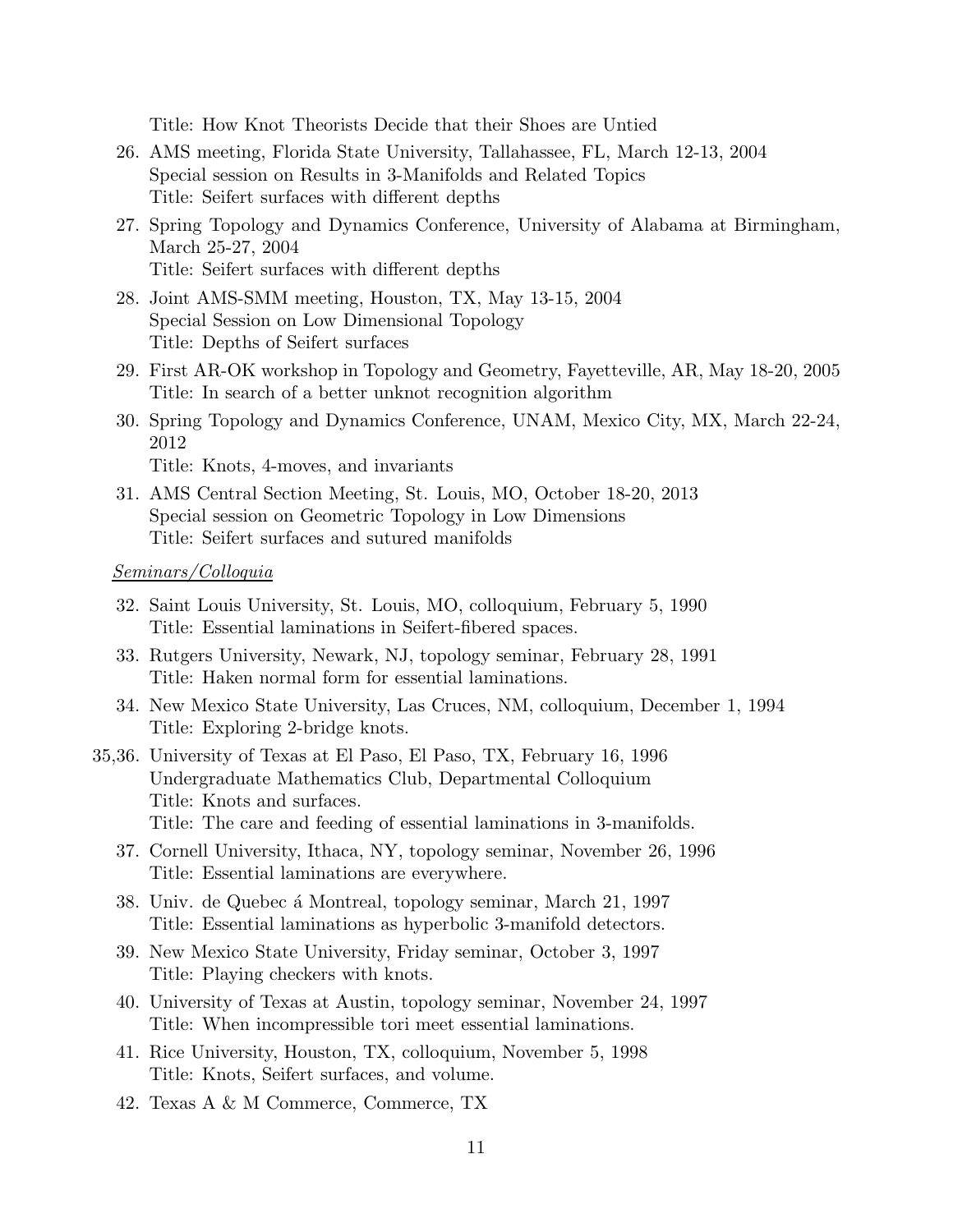Title: How Knot Theorists Decide that their Shoes are Untied

- 26. AMS meeting, Florida State University, Tallahassee, FL, March 12-13, 2004 Special session on Results in 3-Manifolds and Related Topics Title: Seifert surfaces with different depths
- 27. Spring Topology and Dynamics Conference, University of Alabama at Birmingham, March 25-27, 2004 Title: Seifert surfaces with different depths
- 28. Joint AMS-SMM meeting, Houston, TX, May 13-15, 2004 Special Session on Low Dimensional Topology Title: Depths of Seifert surfaces
- 29. First AR-OK workshop in Topology and Geometry, Fayetteville, AR, May 18-20, 2005 Title: In search of a better unknot recognition algorithm
- 30. Spring Topology and Dynamics Conference, UNAM, Mexico City, MX, March 22-24, 2012

Title: Knots, 4-moves, and invariants

31. AMS Central Section Meeting, St. Louis, MO, October 18-20, 2013 Special session on Geometric Topology in Low Dimensions Title: Seifert surfaces and sutured manifolds

#### Seminars/Colloquia

- 32. Saint Louis University, St. Louis, MO, colloquium, February 5, 1990 Title: Essential laminations in Seifert-fibered spaces.
- 33. Rutgers University, Newark, NJ, topology seminar, February 28, 1991 Title: Haken normal form for essential laminations.
- 34. New Mexico State University, Las Cruces, NM, colloquium, December 1, 1994 Title: Exploring 2-bridge knots.
- 35,36. University of Texas at El Paso, El Paso, TX, February 16, 1996 Undergraduate Mathematics Club, Departmental Colloquium Title: Knots and surfaces. Title: The care and feeding of essential laminations in 3-manifolds.
	- 37. Cornell University, Ithaca, NY, topology seminar, November 26, 1996 Title: Essential laminations are everywhere.
	- 38. Univ. de Quebec á Montreal, topology seminar, March 21, 1997 Title: Essential laminations as hyperbolic 3-manifold detectors.
	- 39. New Mexico State University, Friday seminar, October 3, 1997 Title: Playing checkers with knots.
	- 40. University of Texas at Austin, topology seminar, November 24, 1997 Title: When incompressible tori meet essential laminations.
	- 41. Rice University, Houston, TX, colloquium, November 5, 1998 Title: Knots, Seifert surfaces, and volume.
	- 42. Texas A & M Commerce, Commerce, TX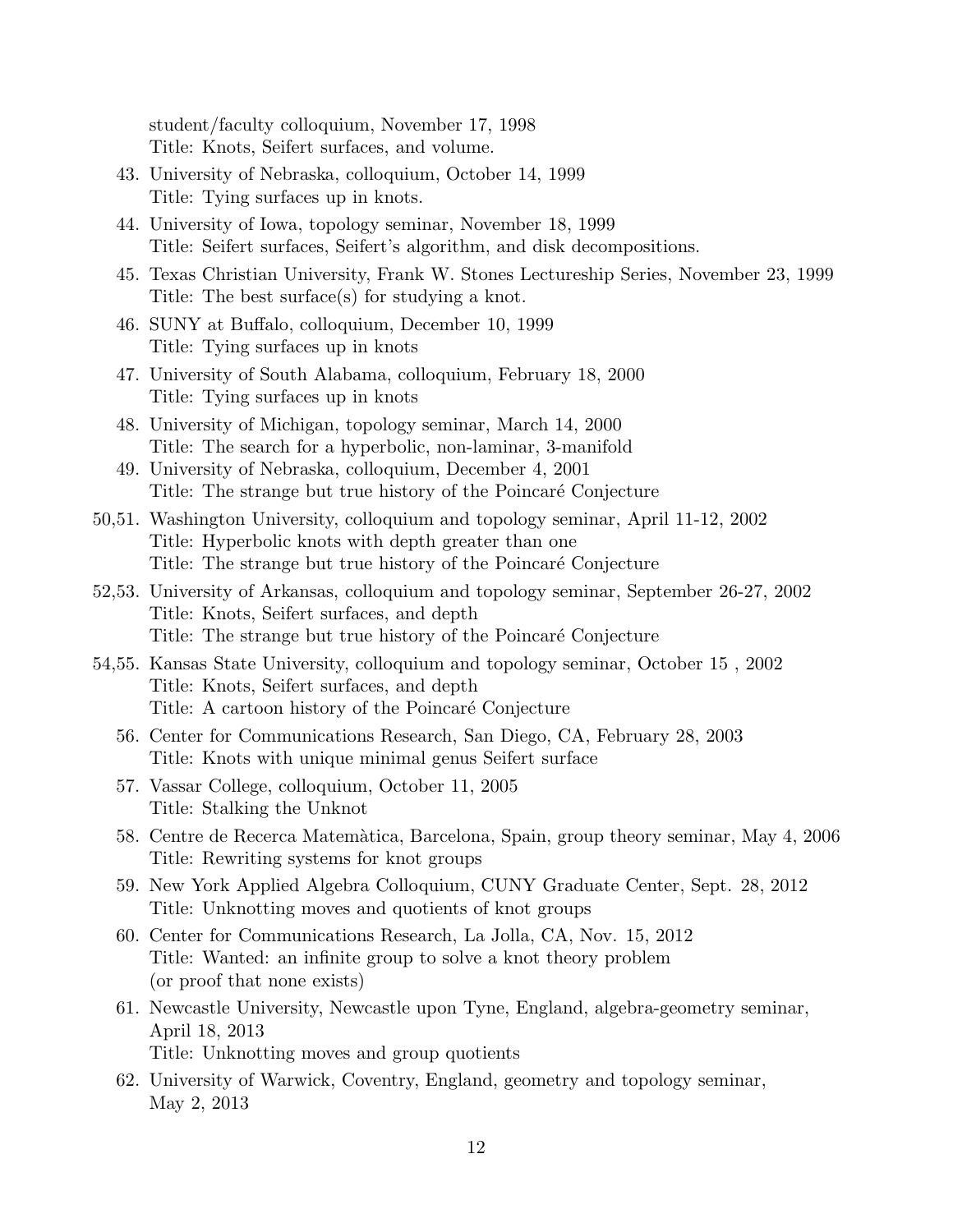student/faculty colloquium, November 17, 1998 Title: Knots, Seifert surfaces, and volume.

- 43. University of Nebraska, colloquium, October 14, 1999 Title: Tying surfaces up in knots.
- 44. University of Iowa, topology seminar, November 18, 1999 Title: Seifert surfaces, Seifert's algorithm, and disk decompositions.
- 45. Texas Christian University, Frank W. Stones Lectureship Series, November 23, 1999 Title: The best surface(s) for studying a knot.
- 46. SUNY at Buffalo, colloquium, December 10, 1999 Title: Tying surfaces up in knots
- 47. University of South Alabama, colloquium, February 18, 2000 Title: Tying surfaces up in knots
- 48. University of Michigan, topology seminar, March 14, 2000 Title: The search for a hyperbolic, non-laminar, 3-manifold
- 49. University of Nebraska, colloquium, December 4, 2001 Title: The strange but true history of the Poincaré Conjecture
- 50,51. Washington University, colloquium and topology seminar, April 11-12, 2002 Title: Hyperbolic knots with depth greater than one Title: The strange but true history of the Poincaré Conjecture
- 52,53. University of Arkansas, colloquium and topology seminar, September 26-27, 2002 Title: Knots, Seifert surfaces, and depth Title: The strange but true history of the Poincaré Conjecture
- 54,55. Kansas State University, colloquium and topology seminar, October 15 , 2002 Title: Knots, Seifert surfaces, and depth Title: A cartoon history of the Poincaré Conjecture
	- 56. Center for Communications Research, San Diego, CA, February 28, 2003 Title: Knots with unique minimal genus Seifert surface
	- 57. Vassar College, colloquium, October 11, 2005 Title: Stalking the Unknot
	- 58. Centre de Recerca Matem`atica, Barcelona, Spain, group theory seminar, May 4, 2006 Title: Rewriting systems for knot groups
	- 59. New York Applied Algebra Colloquium, CUNY Graduate Center, Sept. 28, 2012 Title: Unknotting moves and quotients of knot groups
	- 60. Center for Communications Research, La Jolla, CA, Nov. 15, 2012 Title: Wanted: an infinite group to solve a knot theory problem (or proof that none exists)
	- 61. Newcastle University, Newcastle upon Tyne, England, algebra-geometry seminar, April 18, 2013 Title: Unknotting moves and group quotients
	- 62. University of Warwick, Coventry, England, geometry and topology seminar, May 2, 2013